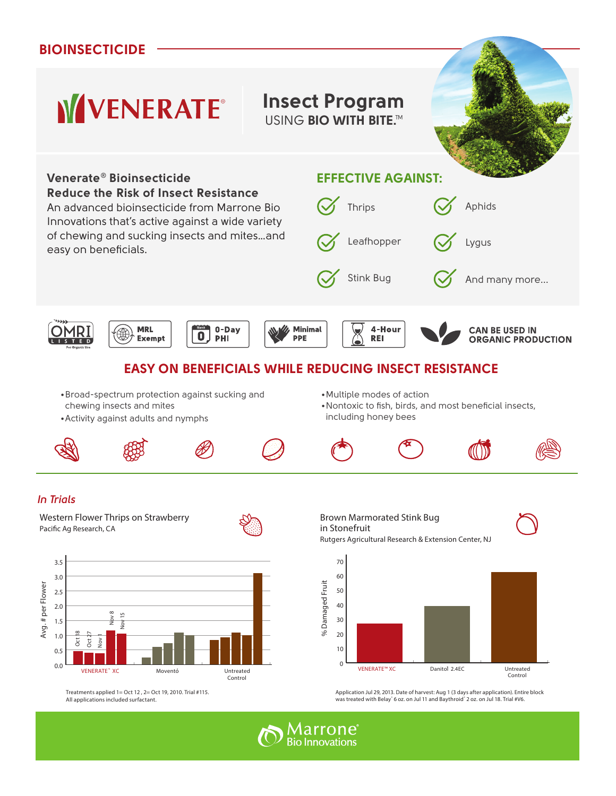## **bioinsecticide**

## **WVENERATE® Insect Program**

**USING BIO WITH BITE.™** 







Treatments applied 1= Oct 12 , 2= Oct 19, 2010. Trial #115. All applications included surfactant.

Application Jul 29, 2013. Date of harvest: Aug 1 (3 days after application). Entire block was treated with Belay" 6 oz. on Jul 11 and Baythroid" 2 oz. on Jul 18. Trial #V6.

Danitol 2.4EC Untreated

Control



Control

 $\frac{1}{2}$